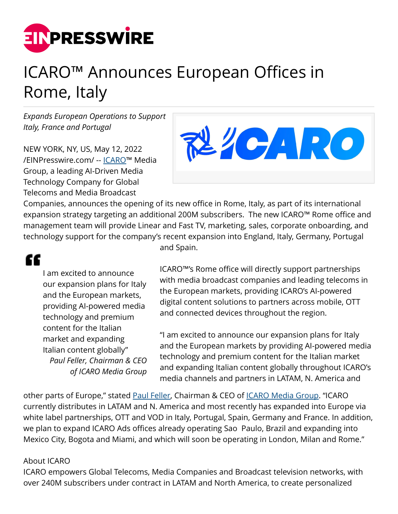

## ICARO™ Announces European Offices in Rome, Italy

*Expands European Operations to Support Italy, France and Portugal*

NEW YORK, NY, US, May 12, 2022 [/EINPresswire.com/](http://www.einpresswire.com) -- [ICARO](https://www.icaromediagroup.com/)™ Media Group, a leading AI-Driven Media Technology Company for Global Telecoms and Media Broadcast



Companies, announces the opening of its new office in Rome, Italy, as part of its international expansion strategy targeting an additional 200M subscribers. The new ICARO™ Rome office and management team will provide Linear and Fast TV, marketing, sales, corporate onboarding, and technology support for the company's recent expansion into England, Italy, Germany, Portugal

## "

I am excited to announce our expansion plans for Italy and the European markets, providing AI-powered media technology and premium content for the Italian market and expanding Italian content globally" *Paul Feller, Chairman & CEO of ICARO Media Group* and Spain.

ICARO™'s Rome office will directly support partnerships with media broadcast companies and leading telecoms in the European markets, providing ICARO's AI-powered digital content solutions to partners across mobile, OTT and connected devices throughout the region.

"I am excited to announce our expansion plans for Italy and the European markets by providing AI-powered media technology and premium content for the Italian market and expanding Italian content globally throughout ICARO's media channels and partners in LATAM, N. America and

other parts of Europe," stated [Paul Feller](https://www.icaromediagroup.com/), Chairman & CEO of *ICARO Media Group*. "ICARO currently distributes in LATAM and N. America and most recently has expanded into Europe via white label partnerships, OTT and VOD in Italy, Portugal, Spain, Germany and France. In addition, we plan to expand ICARO Ads offices already operating Sao Paulo, Brazil and expanding into Mexico City, Bogota and Miami, and which will soon be operating in London, Milan and Rome."

## About ICARO

ICARO empowers Global Telecoms, Media Companies and Broadcast television networks, with over 240M subscribers under contract in LATAM and North America, to create personalized